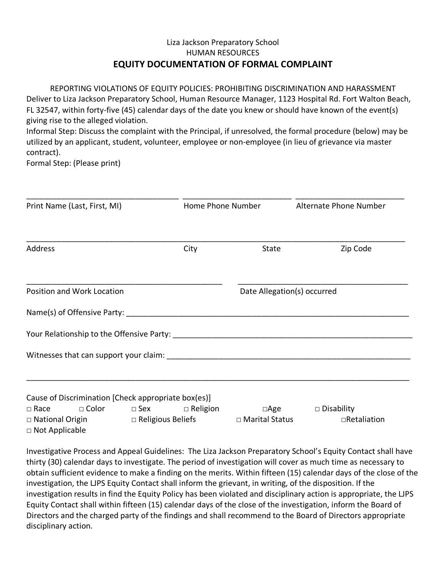## Liza Jackson Preparatory School HUMAN RESOURCES **EQUITY DOCUMENTATION OF FORMAL COMPLAINT**

REPORTING VIOLATIONS OF EQUITY POLICIES: PROHIBITING DISCRIMINATION AND HARASSMENT Deliver to Liza Jackson Preparatory School, Human Resource Manager, 1123 Hospital Rd. Fort Walton Beach, FL 32547, within forty-five (45) calendar days of the date you knew or should have known of the event(s) giving rise to the alleged violation.

Informal Step: Discuss the complaint with the Principal, if unresolved, the formal procedure (below) may be utilized by an applicant, student, volunteer, employee or non-employee (in lieu of grievance via master contract).

Formal Step: (Please print)

| Print Name (Last, First, MI)                                   |                                                  | Home Phone Number |                                                    | Alternate Phone Number            |
|----------------------------------------------------------------|--------------------------------------------------|-------------------|----------------------------------------------------|-----------------------------------|
| Address                                                        |                                                  | City              | State                                              | Zip Code                          |
| Position and Work Location                                     |                                                  |                   | Date Allegation(s) occurred                        |                                   |
|                                                                |                                                  |                   |                                                    |                                   |
|                                                                |                                                  |                   |                                                    |                                   |
|                                                                |                                                  |                   |                                                    |                                   |
|                                                                |                                                  |                   |                                                    |                                   |
| Cause of Discrimination [Check appropriate box(es)]            |                                                  |                   |                                                    |                                   |
| $\Box$ Race<br>$\Box$ National Origin<br>$\Box$ Not Applicable | $\square$ Color $\square$ Sex $\square$ Religion |                   | $\Box$ Age<br>□ Religious Beliefs □ Marital Status | $\Box$ Disability<br>□Retaliation |

Investigative Process and Appeal Guidelines: The Liza Jackson Preparatory School's Equity Contact shall have thirty (30) calendar days to investigate. The period of investigation will cover as much time as necessary to obtain sufficient evidence to make a finding on the merits. Within fifteen (15) calendar days of the close of the investigation, the LJPS Equity Contact shall inform the grievant, in writing, of the disposition. If the investigation results in find the Equity Policy has been violated and disciplinary action is appropriate, the LJPS Equity Contact shall within fifteen (15) calendar days of the close of the investigation, inform the Board of Directors and the charged party of the findings and shall recommend to the Board of Directors appropriate disciplinary action.